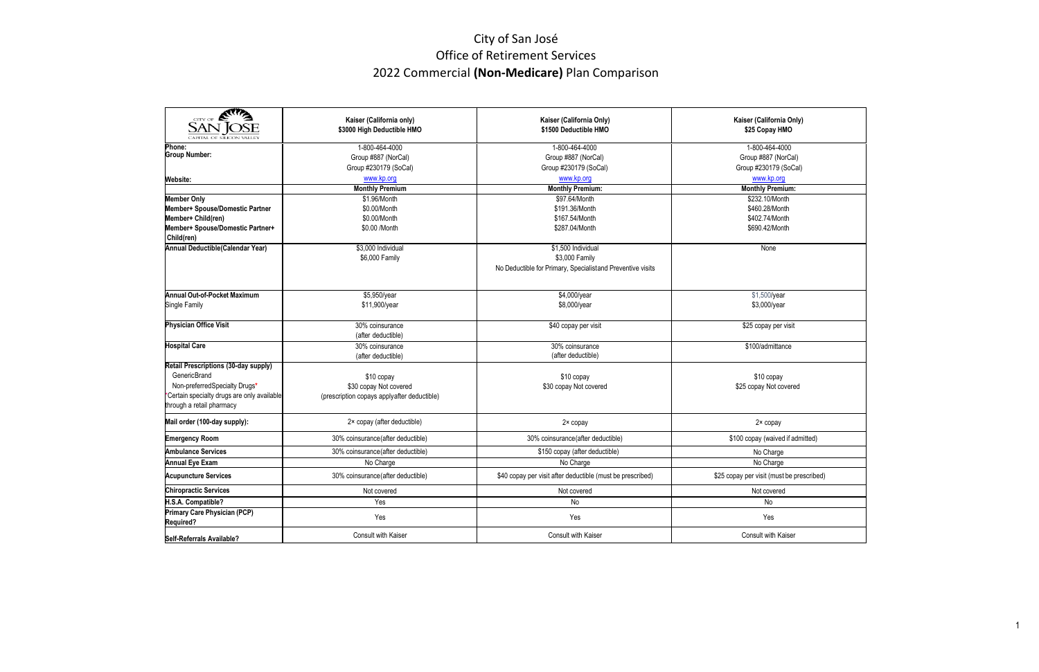## City of San José Office of Retirement Services 2022 Commercial **(Non‐Medicare)** Plan Comparison

| KITTA                                                                                                                                                                   | Kaiser (California only)<br>\$3000 High Deductible HMO                              | Kaiser (California Only)<br>\$1500 Deductible HMO                                                  | Kaiser (California Only)<br>\$25 Copay HMO                     |  |  |
|-------------------------------------------------------------------------------------------------------------------------------------------------------------------------|-------------------------------------------------------------------------------------|----------------------------------------------------------------------------------------------------|----------------------------------------------------------------|--|--|
| Phone:<br><b>Group Number:</b>                                                                                                                                          | 1-800-464-4000<br>Group #887 (NorCal)<br>Group #230179 (SoCal)                      | 1-800-464-4000<br>Group #887 (NorCal)<br>Group #230179 (SoCal)                                     | 1-800-464-4000<br>Group #887 (NorCal)<br>Group #230179 (SoCal) |  |  |
| <b>Website:</b>                                                                                                                                                         | www.kp.org                                                                          | www.kp.org                                                                                         | www.kp.org                                                     |  |  |
|                                                                                                                                                                         | <b>Monthly Premium</b>                                                              | <b>Monthly Premium:</b>                                                                            | <b>Monthly Premium:</b>                                        |  |  |
| <b>Member Only</b><br>Member+ Spouse/Domestic Partner                                                                                                                   | \$1.96/Month                                                                        | \$97.64/Month<br>\$191.36/Month                                                                    | \$232.10/Month<br>\$460.28/Month                               |  |  |
| Member+ Child(ren)                                                                                                                                                      | \$0.00/Month<br>\$0.00/Month                                                        | \$167.54/Month                                                                                     | \$402.74/Month                                                 |  |  |
| Member+ Spouse/Domestic Partner+                                                                                                                                        | \$0.00 /Month                                                                       | \$287.04/Month                                                                                     | \$690.42/Month                                                 |  |  |
| Child(ren)                                                                                                                                                              |                                                                                     |                                                                                                    |                                                                |  |  |
| Annual Deductible (Calendar Year)                                                                                                                                       | \$3,000 Individual<br>\$6,000 Family                                                | \$1,500 Individual<br>\$3,000 Family<br>No Deductible for Primary, Specialistand Preventive visits | None                                                           |  |  |
| Annual Out-of-Pocket Maximum                                                                                                                                            | \$5,950/year                                                                        | \$4,000/year                                                                                       | \$1,500/year                                                   |  |  |
| Single Family                                                                                                                                                           | \$11,900/year                                                                       | \$8,000/year                                                                                       | \$3,000/year                                                   |  |  |
| <b>Physician Office Visit</b>                                                                                                                                           | 30% coinsurance<br>(after deductible)                                               | \$40 copay per visit                                                                               | \$25 copay per visit                                           |  |  |
| <b>Hospital Care</b>                                                                                                                                                    | 30% coinsurance<br>(after deductible)                                               | 30% coinsurance<br>(after deductible)                                                              | \$100/admittance                                               |  |  |
| Retail Prescriptions (30-day supply)<br><b>GenericBrand</b><br>Non-preferredSpecialty Drugs*<br>Certain specialty drugs are only available<br>through a retail pharmacy | \$10 copay<br>\$30 copay Not covered<br>(prescription copays applyafter deductible) | \$10 copay<br>\$30 copay Not covered                                                               | \$10 copay<br>\$25 copay Not covered                           |  |  |
| Mail order (100-day supply):                                                                                                                                            | 2× copay (after deductible)                                                         | 2× copay                                                                                           | 2× copay                                                       |  |  |
| <b>Emergency Room</b>                                                                                                                                                   | 30% coinsurance(after deductible)                                                   | 30% coinsurance(after deductible)                                                                  | \$100 copay (waived if admitted)                               |  |  |
| <b>Ambulance Services</b>                                                                                                                                               | 30% coinsurance(after deductible)                                                   | \$150 copay (after deductible)                                                                     | No Charge                                                      |  |  |
| <b>Annual Eye Exam</b>                                                                                                                                                  | No Charge                                                                           | No Charge                                                                                          | No Charge                                                      |  |  |
| <b>Acupuncture Services</b>                                                                                                                                             | 30% coinsurance(after deductible)                                                   | \$40 copay per visit after deductible (must be prescribed)                                         | \$25 copay per visit (must be prescribed)                      |  |  |
| <b>Chiropractic Services</b>                                                                                                                                            | Not covered                                                                         | Not covered                                                                                        | Not covered                                                    |  |  |
| H.S.A. Compatible?                                                                                                                                                      | Yes                                                                                 | No                                                                                                 | $\mathsf{No}$                                                  |  |  |
| <b>Primary Care Physician (PCP)</b><br><b>Required?</b>                                                                                                                 | Yes                                                                                 | Yes                                                                                                | Yes                                                            |  |  |
| Self-Referrals Available?                                                                                                                                               | <b>Consult with Kaiser</b>                                                          | Consult with Kaiser                                                                                | <b>Consult with Kaiser</b>                                     |  |  |